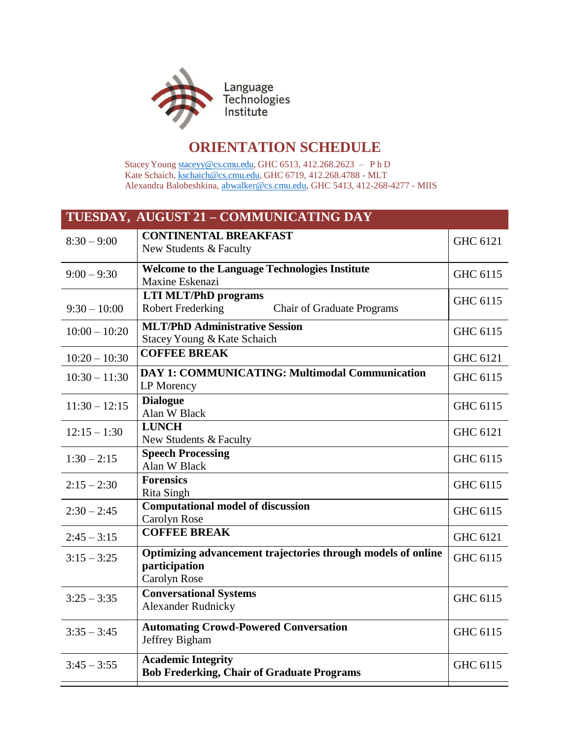

## **ORIENTATION SCHEDULE**

StaceyYoung [staceyy@cs.cmu.edu,](mailto:staceyy@cs.cmu.edu) GHC 6513, 412.268.2623 – P h D Kate Schaich, [kschaich@cs.cmu.edu,](mailto:kschaich@cs.cmu.edu) GHC 6719, 412.268.4788 - MLT Alexandra Balobeshkina, [abwalker@cs.cmu.edu,](mailto:abwalker@cs.cmu.edu) GHC 5413, 412-268-4277 - MIIS

| TUESDAY, AUGUST 21 - COMMUNICATING DAY |                                                                                               |          |  |  |
|----------------------------------------|-----------------------------------------------------------------------------------------------|----------|--|--|
| $8:30 - 9:00$                          | <b>CONTINENTAL BREAKFAST</b><br>New Students & Faculty                                        | GHC 6121 |  |  |
| $9:00 - 9:30$                          | <b>Welcome to the Language Technologies Institute</b><br>Maxine Eskenazi                      | GHC 6115 |  |  |
| $9:30 - 10:00$                         | <b>LTI MLT/PhD programs</b><br><b>Robert Frederking</b><br><b>Chair of Graduate Programs</b>  | GHC 6115 |  |  |
| $10:00 - 10:20$                        | <b>MLT/PhD Administrative Session</b><br>Stacey Young & Kate Schaich                          | GHC 6115 |  |  |
| $10:20 - 10:30$                        | <b>COFFEE BREAK</b>                                                                           | GHC 6121 |  |  |
| $10:30 - 11:30$                        | <b>DAY 1: COMMUNICATING: Multimodal Communication</b><br>LP Morency                           | GHC 6115 |  |  |
| $11:30 - 12:15$                        | <b>Dialogue</b><br>Alan W Black                                                               | GHC 6115 |  |  |
| $12:15 - 1:30$                         | <b>LUNCH</b><br>New Students & Faculty                                                        | GHC 6121 |  |  |
| $1:30 - 2:15$                          | <b>Speech Processing</b><br>Alan W Black                                                      | GHC 6115 |  |  |
| $2:15 - 2:30$                          | <b>Forensics</b><br><b>Rita Singh</b>                                                         | GHC 6115 |  |  |
| $2:30 - 2:45$                          | <b>Computational model of discussion</b><br>Carolyn Rose                                      | GHC 6115 |  |  |
| $2:45 - 3:15$                          | <b>COFFEE BREAK</b>                                                                           | GHC 6121 |  |  |
| $3:15 - 3:25$                          | Optimizing advancement trajectories through models of online<br>participation<br>Carolyn Rose | GHC 6115 |  |  |
| $3:25 - 3:35$                          | <b>Conversational Systems</b><br><b>Alexander Rudnicky</b>                                    | GHC 6115 |  |  |
| $3:35 - 3:45$                          | <b>Automating Crowd-Powered Conversation</b><br>Jeffrey Bigham                                | GHC 6115 |  |  |
| $3:45 - 3:55$                          | <b>Academic Integrity</b><br><b>Bob Frederking, Chair of Graduate Programs</b>                | GHC 6115 |  |  |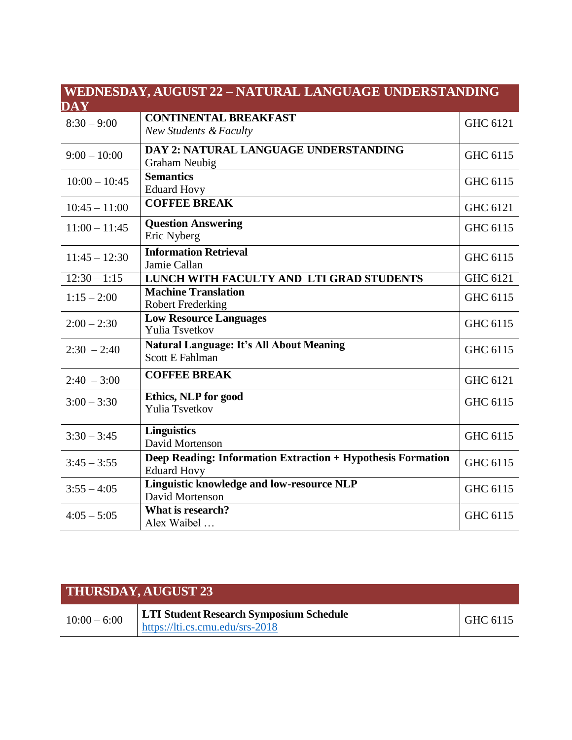| WEDNESDAY, AUGUST 22 - NATURAL LANGUAGE UNDERSTANDING |                                                                    |                 |  |  |
|-------------------------------------------------------|--------------------------------------------------------------------|-----------------|--|--|
| $\overline{\mathbf{DAY}}$                             |                                                                    |                 |  |  |
| $8:30 - 9:00$                                         | <b>CONTINENTAL BREAKFAST</b>                                       | GHC 6121        |  |  |
|                                                       | <b>New Students &amp; Faculty</b>                                  |                 |  |  |
| $9:00 - 10:00$                                        | DAY 2: NATURAL LANGUAGE UNDERSTANDING                              | GHC 6115        |  |  |
|                                                       | <b>Graham Neubig</b>                                               |                 |  |  |
| $10:00 - 10:45$                                       | <b>Semantics</b>                                                   | GHC 6115        |  |  |
|                                                       | <b>Eduard Hovy</b>                                                 |                 |  |  |
| $10:45 - 11:00$                                       | <b>COFFEE BREAK</b>                                                | GHC 6121        |  |  |
| $11:00 - 11:45$                                       | <b>Question Answering</b>                                          | GHC 6115        |  |  |
|                                                       | Eric Nyberg                                                        |                 |  |  |
| $11:45 - 12:30$                                       | <b>Information Retrieval</b>                                       | GHC 6115        |  |  |
|                                                       | Jamie Callan                                                       |                 |  |  |
| $12:30 - 1:15$                                        | LUNCH WITH FACULTY AND LTI GRAD STUDENTS                           | <b>GHC 6121</b> |  |  |
| $1:15 - 2:00$                                         | <b>Machine Translation</b>                                         | GHC 6115        |  |  |
|                                                       | <b>Robert Frederking</b>                                           |                 |  |  |
| $2:00 - 2:30$                                         | <b>Low Resource Languages</b><br><b>Yulia Tsvetkov</b>             | GHC 6115        |  |  |
| $2:30 - 2:40$                                         |                                                                    |                 |  |  |
|                                                       | Natural Language: It's All About Meaning<br><b>Scott E Fahlman</b> | GHC 6115        |  |  |
|                                                       |                                                                    |                 |  |  |
| $2:40 - 3:00$                                         | <b>COFFEE BREAK</b>                                                | GHC 6121        |  |  |
| $3:00 - 3:30$                                         | Ethics, NLP for good                                               | GHC 6115        |  |  |
|                                                       | Yulia Tsvetkov                                                     |                 |  |  |
| $3:30 - 3:45$                                         | <b>Linguistics</b>                                                 | GHC 6115        |  |  |
|                                                       | David Mortenson                                                    |                 |  |  |
| $3:45 - 3:55$                                         | Deep Reading: Information Extraction + Hypothesis Formation        | GHC 6115        |  |  |
|                                                       | <b>Eduard Hovy</b>                                                 |                 |  |  |
| $3:55 - 4:05$                                         | Linguistic knowledge and low-resource NLP                          | GHC 6115        |  |  |
|                                                       | David Mortenson                                                    |                 |  |  |
| $4:05 - 5:05$                                         | What is research?                                                  | GHC 6115        |  |  |
|                                                       | Alex Waibel                                                        |                 |  |  |

| <b>THURSDAY, AUGUST 23</b> |                                                                                   |          |  |  |
|----------------------------|-----------------------------------------------------------------------------------|----------|--|--|
| $10:00 - 6:00$             | <b>LTI Student Research Symposium Schedule</b><br>https://lti.cs.cmu.edu/srs-2018 | GHC 6115 |  |  |